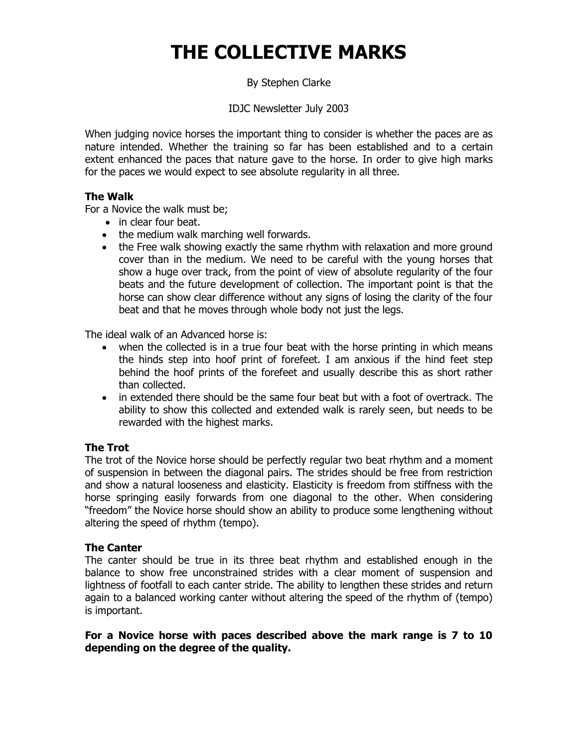# **THE COLLECTIVE MARKS**

By Stephen Clarke

IDJC Newsletter July 2003

When judging novice horses the important thing to consider is whether the paces are as nature intended. Whether the training so far has been established and to a certain extent enhanced the paces that nature gave to the horse. In order to give high marks for the paces we would expect to see absolute regularity in all three.

## **The Walk**

For a Novice the walk must be;

- in clear four beat.
- the medium walk marching well forwards.
- the Free walk showing exactly the same rhythm with relaxation and more ground cover than in the medium. We need to be careful with the young horses that show a huge over track, from the point of view of absolute regularity of the four beats and the future development of collection. The important point is that the horse can show clear difference without any signs of losing the clarity of the four beat and that he moves through whole body not just the legs.

The ideal walk of an Advanced horse is:

- when the collected is in a true four beat with the horse printing in which means the hinds step into hoof print of forefeet. I am anxious if the hind feet step behind the hoof prints of the forefeet and usually describe this as short rather than collected.
- in extended there should be the same four beat but with a foot of overtrack. The ability to show this collected and extended walk is rarely seen, but needs to be rewarded with the highest marks.

## **The Trot**

The trot of the Novice horse should be perfectly regular two beat rhythm and a moment of suspension in between the diagonal pairs. The strides should be free from restriction and show a natural looseness and elasticity. Elasticity is freedom from stiffness with the horse springing easily forwards from one diagonal to the other. When considering "freedom" the Novice horse should show an ability to produce some lengthening without altering the speed of rhythm (tempo).

### **The Canter**

The canter should be true in its three beat rhythm and established enough in the balance to show free unconstrained strides with a clear moment of suspension and lightness of footfall to each canter stride. The ability to lengthen these strides and return again to a balanced working canter without altering the speed of the rhythm of (tempo) is important.

### **For a Novice horse with paces described above the mark range is 7 to 10 depending on the degree of the quality.**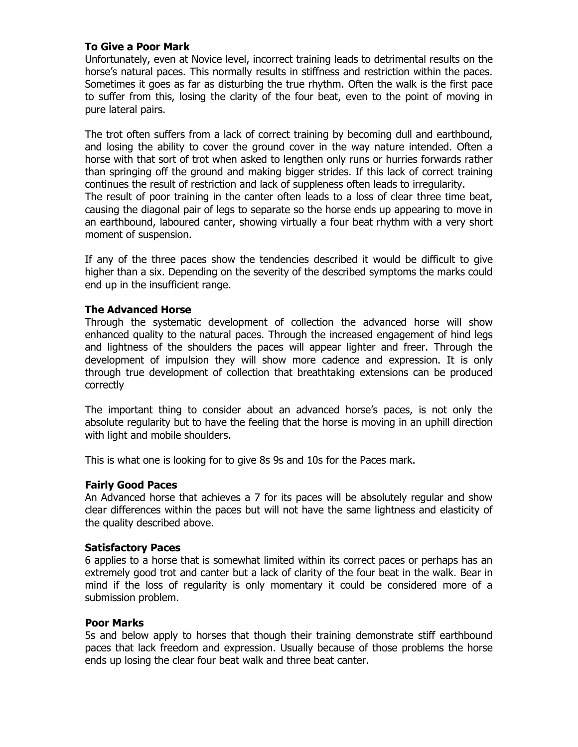### **To Give a Poor Mark**

Unfortunately, even at Novice level, incorrect training leads to detrimental results on the horse's natural paces. This normally results in stiffness and restriction within the paces. Sometimes it goes as far as disturbing the true rhythm. Often the walk is the first pace to suffer from this, losing the clarity of the four beat, even to the point of moving in pure lateral pairs.

The trot often suffers from a lack of correct training by becoming dull and earthbound, and losing the ability to cover the ground cover in the way nature intended. Often a horse with that sort of trot when asked to lengthen only runs or hurries forwards rather than springing off the ground and making bigger strides. If this lack of correct training continues the result of restriction and lack of suppleness often leads to irregularity. The result of poor training in the canter often leads to a loss of clear three time beat, causing the diagonal pair of legs to separate so the horse ends up appearing to move in an earthbound, laboured canter, showing virtually a four beat rhythm with a very short moment of suspension.

If any of the three paces show the tendencies described it would be difficult to give higher than a six. Depending on the severity of the described symptoms the marks could end up in the insufficient range.

### **The Advanced Horse**

Through the systematic development of collection the advanced horse will show enhanced quality to the natural paces. Through the increased engagement of hind legs and lightness of the shoulders the paces will appear lighter and freer. Through the development of impulsion they will show more cadence and expression. It is only through true development of collection that breathtaking extensions can be produced correctly

The important thing to consider about an advanced horse's paces, is not only the absolute regularity but to have the feeling that the horse is moving in an uphill direction with light and mobile shoulders.

This is what one is looking for to give 8s 9s and 10s for the Paces mark.

### **Fairly Good Paces**

An Advanced horse that achieves a 7 for its paces will be absolutely regular and show clear differences within the paces but will not have the same lightness and elasticity of the quality described above.

### **Satisfactory Paces**

6 applies to a horse that is somewhat limited within its correct paces or perhaps has an extremely good trot and canter but a lack of clarity of the four beat in the walk. Bear in mind if the loss of regularity is only momentary it could be considered more of a submission problem.

#### **Poor Marks**

5s and below apply to horses that though their training demonstrate stiff earthbound paces that lack freedom and expression. Usually because of those problems the horse ends up losing the clear four beat walk and three beat canter.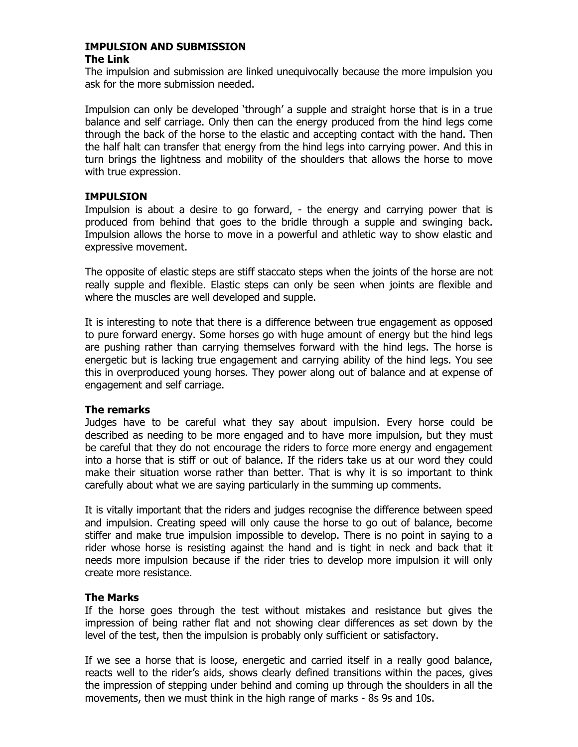# **IMPULSION AND SUBMISSION**

### **The Link**

The impulsion and submission are linked unequivocally because the more impulsion you ask for the more submission needed.

Impulsion can only be developed 'through' a supple and straight horse that is in a true balance and self carriage. Only then can the energy produced from the hind legs come through the back of the horse to the elastic and accepting contact with the hand. Then the half halt can transfer that energy from the hind legs into carrying power. And this in turn brings the lightness and mobility of the shoulders that allows the horse to move with true expression.

### **IMPULSION**

Impulsion is about a desire to go forward, - the energy and carrying power that is produced from behind that goes to the bridle through a supple and swinging back. Impulsion allows the horse to move in a powerful and athletic way to show elastic and expressive movement.

The opposite of elastic steps are stiff staccato steps when the joints of the horse are not really supple and flexible. Elastic steps can only be seen when joints are flexible and where the muscles are well developed and supple.

It is interesting to note that there is a difference between true engagement as opposed to pure forward energy. Some horses go with huge amount of energy but the hind legs are pushing rather than carrying themselves forward with the hind legs. The horse is energetic but is lacking true engagement and carrying ability of the hind legs. You see this in overproduced young horses. They power along out of balance and at expense of engagement and self carriage.

### **The remarks**

Judges have to be careful what they say about impulsion. Every horse could be described as needing to be more engaged and to have more impulsion, but they must be careful that they do not encourage the riders to force more energy and engagement into a horse that is stiff or out of balance. If the riders take us at our word they could make their situation worse rather than better. That is why it is so important to think carefully about what we are saying particularly in the summing up comments.

It is vitally important that the riders and judges recognise the difference between speed and impulsion. Creating speed will only cause the horse to go out of balance, become stiffer and make true impulsion impossible to develop. There is no point in saying to a rider whose horse is resisting against the hand and is tight in neck and back that it needs more impulsion because if the rider tries to develop more impulsion it will only create more resistance.

### **The Marks**

If the horse goes through the test without mistakes and resistance but gives the impression of being rather flat and not showing clear differences as set down by the level of the test, then the impulsion is probably only sufficient or satisfactory.

If we see a horse that is loose, energetic and carried itself in a really good balance, reacts well to the rider's aids, shows clearly defined transitions within the paces, gives the impression of stepping under behind and coming up through the shoulders in all the movements, then we must think in the high range of marks - 8s 9s and 10s.